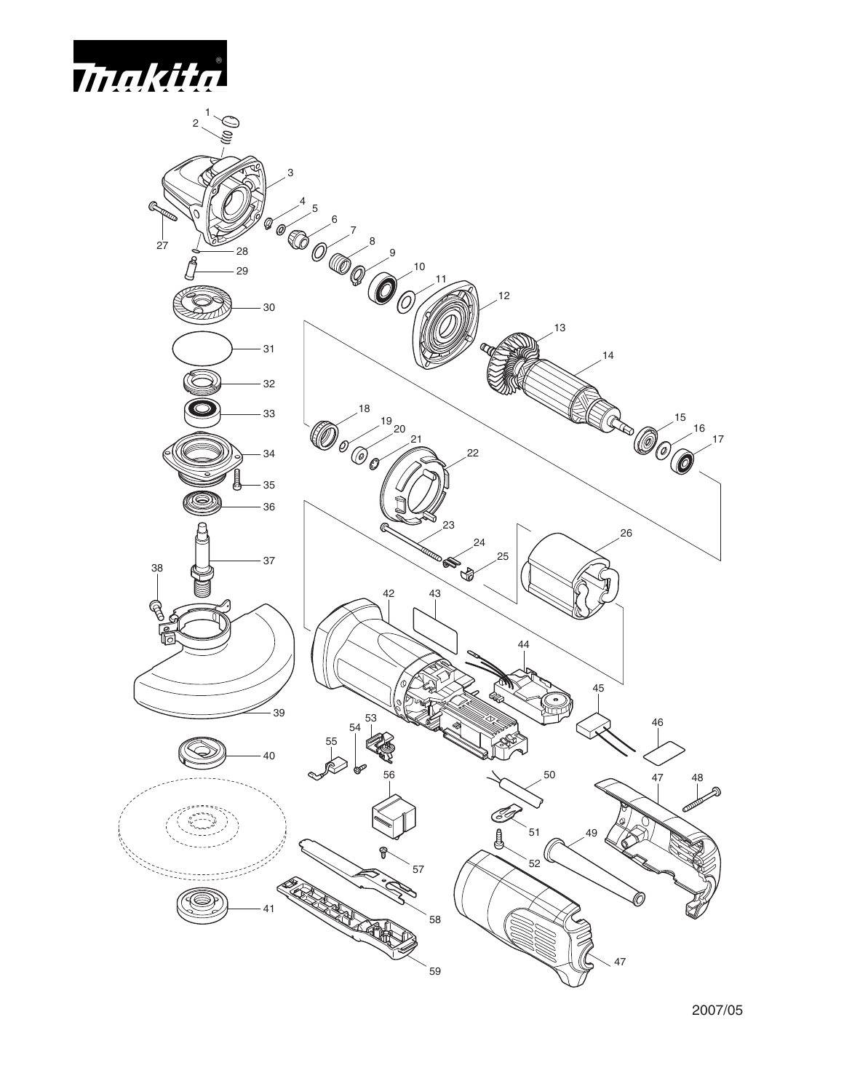

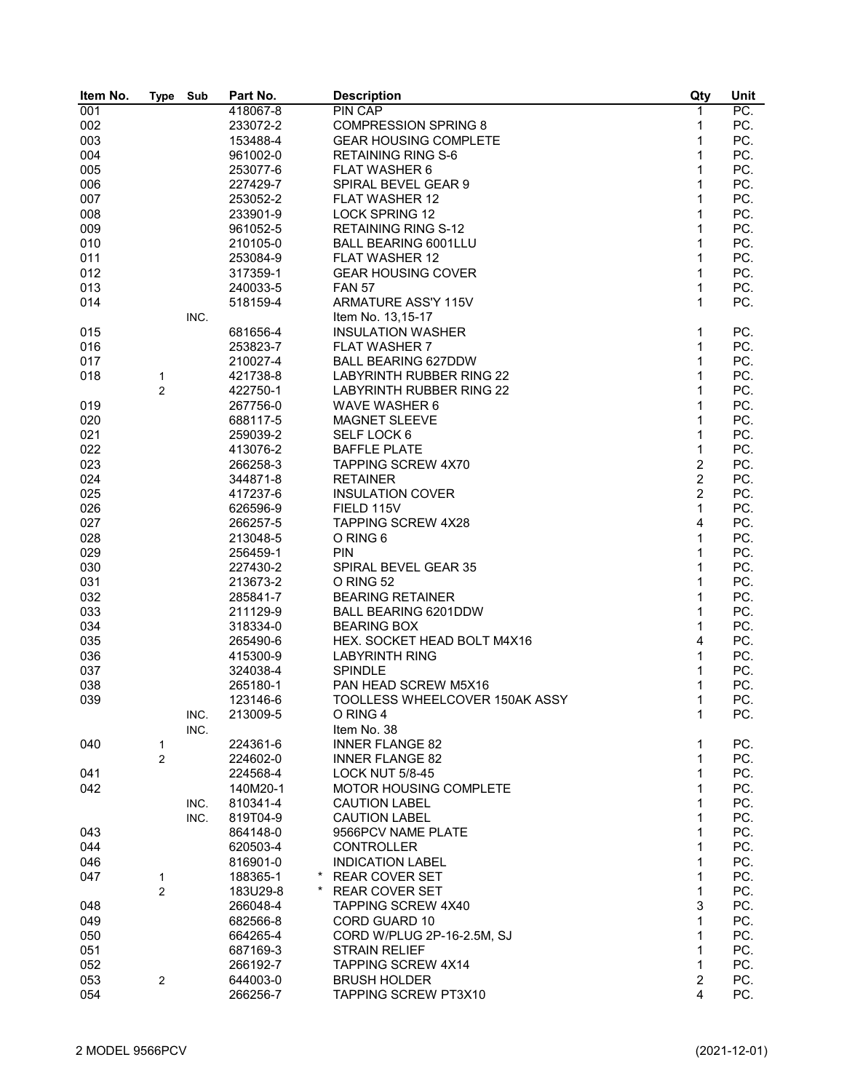| Item No. | <b>Type</b>    | Sub  | Part No.            | <b>Description</b>              | Qty            | Unit              |
|----------|----------------|------|---------------------|---------------------------------|----------------|-------------------|
| 001      |                |      | 418067-8            | PIN CAP                         | $\mathbf 1$    | $\overline{PC}$ . |
| 002      |                |      | 233072-2            | <b>COMPRESSION SPRING 8</b>     | 1              | PC.               |
| 003      |                |      | 153488-4            | <b>GEAR HOUSING COMPLETE</b>    | 1              | PC.               |
| 004      |                |      | 961002-0            | <b>RETAINING RING S-6</b>       | $\mathbf{1}$   | PC.               |
| 005      |                |      | 253077-6            | FLAT WASHER 6                   | 1              | PC.               |
| 006      |                |      | 227429-7            | SPIRAL BEVEL GEAR 9             | 1              | PC.               |
| 007      |                |      | 253052-2            | <b>FLAT WASHER 12</b>           | 1              | PC.               |
| 008      |                |      | 233901-9            | <b>LOCK SPRING 12</b>           | 1              | PC.               |
| 009      |                |      | 961052-5            | <b>RETAINING RING S-12</b>      | 1              | PC.               |
| 010      |                |      | 210105-0            | <b>BALL BEARING 6001LLU</b>     | 1              | PC.               |
| 011      |                |      | 253084-9            | <b>FLAT WASHER 12</b>           | 1              | PC.               |
| 012      |                |      | 317359-1            | <b>GEAR HOUSING COVER</b>       | 1              | PC.               |
| 013      |                |      | 240033-5            | <b>FAN 57</b>                   | $\mathbf{1}$   | PC.               |
| 014      |                |      | 518159-4            | ARMATURE ASS'Y 115V             | 1              | PC.               |
|          |                | INC. |                     | Item No. 13,15-17               |                |                   |
| 015      |                |      | 681656-4            | <b>INSULATION WASHER</b>        | $\mathbf 1$    | PC.               |
| 016      |                |      | 253823-7            | <b>FLAT WASHER 7</b>            | $\mathbf{1}$   | PC.               |
| 017      |                |      | 210027-4            | <b>BALL BEARING 627DDW</b>      | $\mathbf{1}$   | PC.               |
|          |                |      | 421738-8            | LABYRINTH RUBBER RING 22        | 1              | PC.               |
| 018      | 1              |      |                     |                                 | 1              | PC.               |
|          | 2              |      | 422750-1            | <b>LABYRINTH RUBBER RING 22</b> |                |                   |
| 019      |                |      | 267756-0            | WAVE WASHER 6                   | 1              | PC.               |
| 020      |                |      | 688117-5            | <b>MAGNET SLEEVE</b>            | 1              | PC.               |
| 021      |                |      | 259039-2            | SELF LOCK 6                     | 1              | PC.               |
| 022      |                |      | 413076-2            | <b>BAFFLE PLATE</b>             | 1              | PC.               |
| 023      |                |      | 266258-3            | <b>TAPPING SCREW 4X70</b>       | $\overline{c}$ | PC.               |
| 024      |                |      | 344871-8            | <b>RETAINER</b>                 | $\overline{c}$ | PC.               |
| 025      |                |      | 417237-6            | <b>INSULATION COVER</b>         | $\overline{2}$ | PC.               |
| 026      |                |      | 626596-9            | FIELD 115V                      | 1              | PC.               |
| 027      |                |      | 266257-5            | <b>TAPPING SCREW 4X28</b>       | 4              | PC.               |
| 028      |                |      | 213048-5            | O RING 6                        | $\mathbf{1}$   | PC.               |
| 029      |                |      | 256459-1            | <b>PIN</b>                      | 1              | PC.               |
| 030      |                |      | 227430-2            | SPIRAL BEVEL GEAR 35            | 1              | PC.               |
| 031      |                |      | 213673-2            | O RING 52                       | 1              | PC.               |
| 032      |                |      | 285841-7            | <b>BEARING RETAINER</b>         | 1              | PC.               |
| 033      |                |      | 211129-9            | BALL BEARING 6201DDW            | 1              | PC.               |
| 034      |                |      | 318334-0            | <b>BEARING BOX</b>              | $\mathbf{1}$   | PC.               |
| 035      |                |      | 265490-6            | HEX. SOCKET HEAD BOLT M4X16     | 4              | PC.               |
| 036      |                |      | 415300-9            | <b>LABYRINTH RING</b>           | 1              | PC.               |
| 037      |                |      | 324038-4            | <b>SPINDLE</b>                  | 1              | PC.               |
| 038      |                |      | 265180-1            | PAN HEAD SCREW M5X16            | 1              | PC.               |
| 039      |                |      | 123146-6            | TOOLLESS WHEELCOVER 150AK ASSY  | 1              | PC.               |
|          |                | INC. | 213009-5            | O RING 4                        | 1              | PC.               |
|          |                | INC. |                     | Item No. 38                     |                |                   |
| 040      | 1              |      | 224361-6            | <b>INNER FLANGE 82</b>          | 1              | PC.               |
|          | 2              |      | 224602-0            | <b>INNER FLANGE 82</b>          | 1              | PC.               |
| 041      |                |      | 224568-4            | <b>LOCK NUT 5/8-45</b>          | 1              | PC.               |
| 042      |                |      | 140M20-1            | <b>MOTOR HOUSING COMPLETE</b>   | 1              | PC.               |
|          |                | INC. | 810341-4            | <b>CAUTION LABEL</b>            | 1              | PC.               |
|          |                | INC. | 819T04-9            | <b>CAUTION LABEL</b>            | 1              | PC.               |
| 043      |                |      | 864148-0            | 9566PCV NAME PLATE              | 1              | PC.               |
| 044      |                |      | 620503-4            | <b>CONTROLLER</b>               | 1              | PC.               |
| 046      |                |      | 816901-0            | <b>INDICATION LABEL</b>         | 1              | PC.               |
|          |                |      | $\star$             | <b>REAR COVER SET</b>           | 1              | PC.               |
| 047      | 1              |      | 188365-1<br>$\star$ |                                 | $\mathbf{1}$   |                   |
|          | $\overline{c}$ |      | 183U29-8            | <b>REAR COVER SET</b>           |                | PC.               |
| 048      |                |      | 266048-4            | <b>TAPPING SCREW 4X40</b>       | 3              | PC.               |
| 049      |                |      | 682566-8            | <b>CORD GUARD 10</b>            | 1              | PC.               |
| 050      |                |      | 664265-4            | CORD W/PLUG 2P-16-2.5M, SJ      | 1              | PC.               |
| 051      |                |      | 687169-3            | <b>STRAIN RELIEF</b>            | 1              | PC.               |
| 052      |                |      | 266192-7            | <b>TAPPING SCREW 4X14</b>       | 1              | PC.               |
| 053      | 2              |      | 644003-0            | <b>BRUSH HOLDER</b>             | $\overline{c}$ | PC.               |
| 054      |                |      | 266256-7            | TAPPING SCREW PT3X10            | 4              | PC.               |